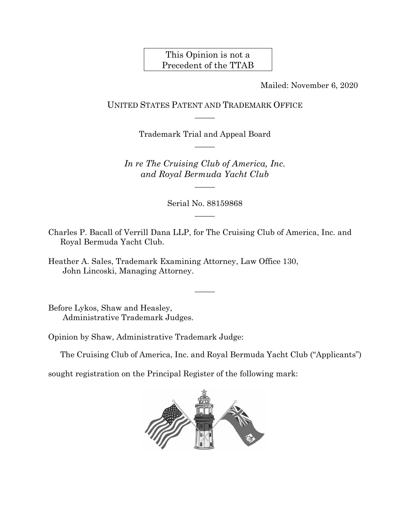# This Opinion is not a Precedent of the TTAB

Mailed: November 6, 2020

UNITED STATES PATENT AND TRADEMARK OFFICE  $\mathcal{L}$ 

> Trademark Trial and Appeal Board  $\overline{\phantom{a}}$

*In re The Cruising Club of America, Inc. and Royal Bermuda Yacht Club*

 $\overline{\phantom{a}}$ 

Serial No. 88159868  $\mathcal{L}$ 

Charles P. Bacall of Verrill Dana LLP, for The Cruising Club of America, Inc. and Royal Bermuda Yacht Club.

 $\overline{\phantom{a}}$ 

Heather A. Sales, Trademark Examining Attorney, Law Office 130, John Lincoski, Managing Attorney.

Before Lykos, Shaw and Heasley, Administrative Trademark Judges.

Opinion by Shaw, Administrative Trademark Judge:

The Cruising Club of America, Inc. and Royal Bermuda Yacht Club ("Applicants")

sought registration on the Principal Register of the following mark:

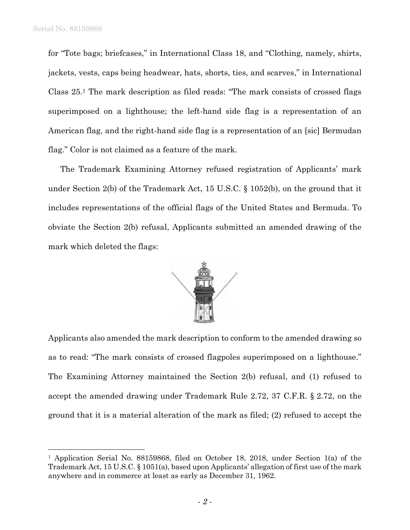l

for "Tote bags; briefcases," in International Class 18, and "Clothing, namely, shirts, jackets, vests, caps being headwear, hats, shorts, ties, and scarves," in International Class 25.<sup>1</sup> The mark description as filed reads: "The mark consists of crossed flags superimposed on a lighthouse; the left-hand side flag is a representation of an American flag, and the right-hand side flag is a representation of an [sic] Bermudan flag." Color is not claimed as a feature of the mark.

The Trademark Examining Attorney refused registration of Applicants' mark under Section 2(b) of the Trademark Act, 15 U.S.C. § 1052(b), on the ground that it includes representations of the official flags of the United States and Bermuda. To obviate the Section 2(b) refusal, Applicants submitted an amended drawing of the mark which deleted the flags:



Applicants also amended the mark description to conform to the amended drawing so as to read: "The mark consists of crossed flagpoles superimposed on a lighthouse." The Examining Attorney maintained the Section 2(b) refusal, and (1) refused to accept the amended drawing under Trademark Rule 2.72, 37 C.F.R. § 2.72, on the ground that it is a material alteration of the mark as filed; (2) refused to accept the

<sup>1</sup> Application Serial No. 88159868, filed on October 18, 2018, under Section 1(a) of the Trademark Act, 15 U.S.C. § 1051(a), based upon Applicants' allegation of first use of the mark anywhere and in commerce at least as early as December 31, 1962.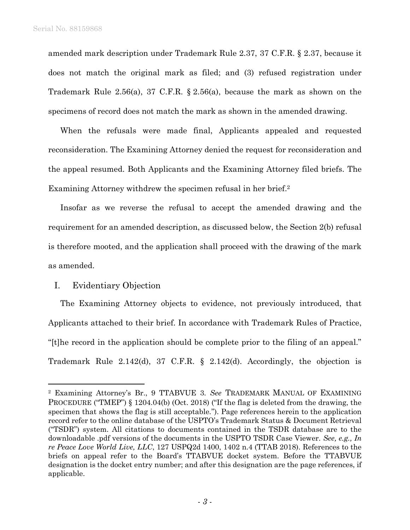amended mark description under Trademark Rule 2.37, 37 C.F.R. § 2.37, because it does not match the original mark as filed; and (3) refused registration under Trademark Rule 2.56(a), 37 C.F.R. § 2.56(a), because the mark as shown on the specimens of record does not match the mark as shown in the amended drawing.

When the refusals were made final, Applicants appealed and requested reconsideration. The Examining Attorney denied the request for reconsideration and the appeal resumed. Both Applicants and the Examining Attorney filed briefs. The Examining Attorney withdrew the specimen refusal in her brief.<sup>2</sup>

Insofar as we reverse the refusal to accept the amended drawing and the requirement for an amended description, as discussed below, the Section 2(b) refusal is therefore mooted, and the application shall proceed with the drawing of the mark as amended.

### I. Evidentiary Objection

l

The Examining Attorney objects to evidence, not previously introduced, that Applicants attached to their brief. In accordance with Trademark Rules of Practice, "[t]he record in the application should be complete prior to the filing of an appeal." Trademark Rule 2.142(d), 37 C.F.R. § 2.142(d). Accordingly, the objection is

<sup>2</sup> Examining Attorney's Br., 9 TTABVUE 3. *See* TRADEMARK MANUAL OF EXAMINING PROCEDURE ("TMEP")  $\S 1204.04(b)$  (Oct. 2018) ("If the flag is deleted from the drawing, the specimen that shows the flag is still acceptable."). Page references herein to the application record refer to the online database of the USPTO's Trademark Status & Document Retrieval ("TSDR") system. All citations to documents contained in the TSDR database are to the downloadable .pdf versions of the documents in the USPTO TSDR Case Viewer. *See, e.g., In re Peace Love World Live, LLC*, 127 USPQ2d 1400, 1402 n.4 (TTAB 2018). References to the briefs on appeal refer to the Board's TTABVUE docket system. Before the TTABVUE designation is the docket entry number; and after this designation are the page references, if applicable.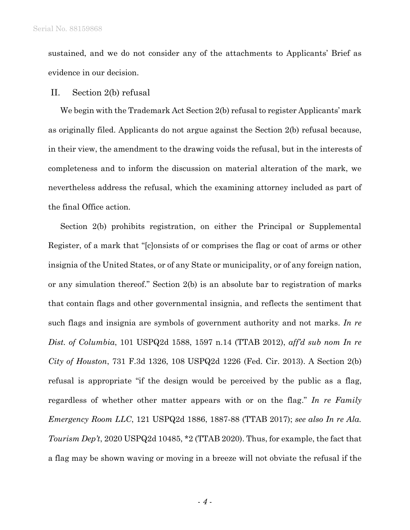sustained, and we do not consider any of the attachments to Applicants' Brief as evidence in our decision.

#### II. Section 2(b) refusal

We begin with the Trademark Act Section 2(b) refusal to register Applicants' mark as originally filed. Applicants do not argue against the Section 2(b) refusal because, in their view, the amendment to the drawing voids the refusal, but in the interests of completeness and to inform the discussion on material alteration of the mark, we nevertheless address the refusal, which the examining attorney included as part of the final Office action.

Section 2(b) prohibits registration, on either the Principal or Supplemental Register, of a mark that "[c]onsists of or comprises the flag or coat of arms or other insignia of the United States, or of any State or municipality, or of any foreign nation, or any simulation thereof." Section 2(b) is an absolute bar to registration of marks that contain flags and other governmental insignia, and reflects the sentiment that such flags and insignia are symbols of government authority and not marks. *In re Dist. of Columbia*, 101 USPQ2d 1588, 1597 n.14 (TTAB 2012), *aff'd sub nom In re City of Houston*, 731 F.3d 1326, 108 USPQ2d 1226 (Fed. Cir. 2013). A Section 2(b) refusal is appropriate "if the design would be perceived by the public as a flag, regardless of whether other matter appears with or on the flag." *In re Family Emergency Room LLC*, 121 USPQ2d 1886, 1887-88 (TTAB 2017); *see also In re Ala. Tourism Dep't*, 2020 USPQ2d 10485, \*2 (TTAB 2020). Thus, for example, the fact that a flag may be shown waving or moving in a breeze will not obviate the refusal if the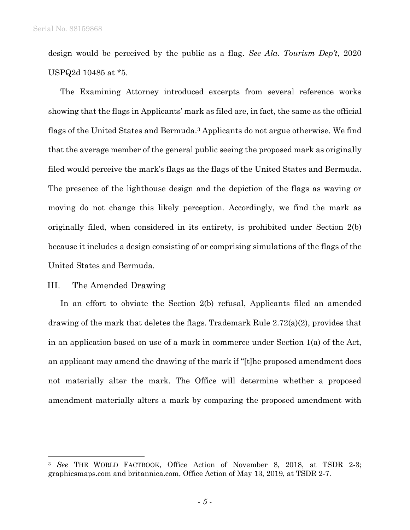design would be perceived by the public as a flag. *See Ala. Tourism Dep't*, 2020 USPQ2d 10485 at \*5.

The Examining Attorney introduced excerpts from several reference works showing that the flags in Applicants' mark as filed are, in fact, the same as the official flags of the United States and Bermuda.<sup>3</sup> Applicants do not argue otherwise. We find that the average member of the general public seeing the proposed mark as originally filed would perceive the mark's flags as the flags of the United States and Bermuda. The presence of the lighthouse design and the depiction of the flags as waving or moving do not change this likely perception. Accordingly, we find the mark as originally filed, when considered in its entirety, is prohibited under Section 2(b) because it includes a design consisting of or comprising simulations of the flags of the United States and Bermuda.

## III. The Amended Drawing

l

In an effort to obviate the Section 2(b) refusal, Applicants filed an amended drawing of the mark that deletes the flags. Trademark Rule 2.72(a)(2), provides that in an application based on use of a mark in commerce under Section 1(a) of the Act, an applicant may amend the drawing of the mark if "[t]he proposed amendment does not materially alter the mark. The Office will determine whether a proposed amendment materially alters a mark by comparing the proposed amendment with

<sup>3</sup> *See* THE WORLD FACTBOOK, Office Action of November 8, 2018, at TSDR 2-3; graphicsmaps.com and britannica.com, Office Action of May 13, 2019, at TSDR 2-7.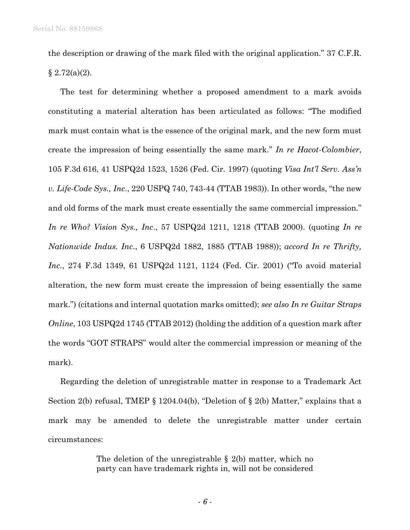the description or drawing of the mark filed with the original application." 37 C.F.R.  $\S 2.72(a)(2)$ .

The test for determining whether a proposed amendment to a mark avoids constituting a material alteration has been articulated as follows: "The modified mark must contain what is the essence of the original mark, and the new form must create the impression of being essentially the same mark." *In re Hacot-Colombier*, 105 F.3d 616, 41 USPQ2d 1523, 1526 (Fed. Cir. 1997) (quoting *Visa Int'l Serv. Ass'n v. Life-Code Sys., Inc*., 220 USPQ 740, 743-44 (TTAB 1983)). In other words, "the new and old forms of the mark must create essentially the same commercial impression." *In re Who? Vision Sys., Inc*., 57 USPQ2d 1211, 1218 (TTAB 2000). (quoting *In re Nationwide Indus. Inc*., 6 USPQ2d 1882, 1885 (TTAB 1988)); *accord In re Thrifty, Inc.*, 274 F.3d 1349, 61 USPQ2d 1121, 1124 (Fed. Cir. 2001) ("To avoid material alteration, the new form must create the impression of being essentially the same mark.") (citations and internal quotation marks omitted); *see also In re Guitar Straps Online*, 103 USPQ2d 1745 (TTAB 2012) (holding the addition of a question mark after the words "GOT STRAPS" would alter the commercial impression or meaning of the mark).

Regarding the deletion of unregistrable matter in response to a Trademark Act Section 2(b) refusal, TMEP § 1204.04(b), "Deletion of § 2(b) Matter," explains that a mark may be amended to delete the unregistrable matter under certain circumstances:

> The deletion of the unregistrable § 2(b) matter, which no party can have trademark rights in, will not be considered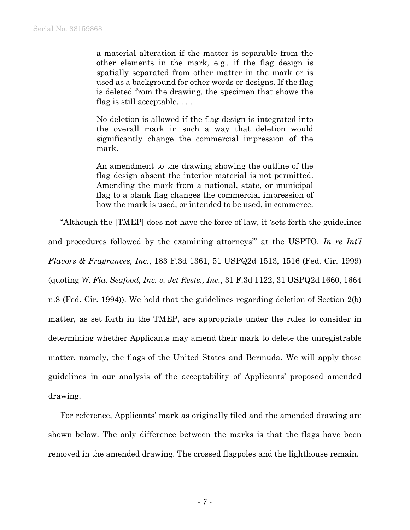a material alteration if the matter is separable from the other elements in the mark, e.g.*,* if the flag design is spatially separated from other matter in the mark or is used as a background for other words or designs. If the flag is deleted from the drawing, the specimen that shows the flag is still acceptable. . . .

No deletion is allowed if the flag design is integrated into the overall mark in such a way that deletion would significantly change the commercial impression of the mark.

An amendment to the drawing showing the outline of the flag design absent the interior material is not permitted. Amending the mark from a national, state, or municipal flag to a blank flag changes the commercial impression of how the mark is used, or intended to be used, in commerce.

"Although the [TMEP] does not have the force of law, it 'sets forth the guidelines and procedures followed by the examining attorneys'" at the USPTO. *In re Int'l Flavors & Fragrances, Inc.*, 183 F.3d 1361, 51 USPQ2d 1513, 1516 (Fed. Cir. 1999) (quoting *W. Fla. Seafood, Inc. v. Jet Rests., Inc.*, 31 F.3d 1122, 31 USPQ2d 1660, 1664 n.8 (Fed. Cir. 1994)). We hold that the guidelines regarding deletion of Section 2(b) matter, as set forth in the TMEP, are appropriate under the rules to consider in determining whether Applicants may amend their mark to delete the unregistrable matter, namely, the flags of the United States and Bermuda. We will apply those guidelines in our analysis of the acceptability of Applicants' proposed amended drawing.

For reference, Applicants' mark as originally filed and the amended drawing are shown below. The only difference between the marks is that the flags have been removed in the amended drawing. The crossed flagpoles and the lighthouse remain.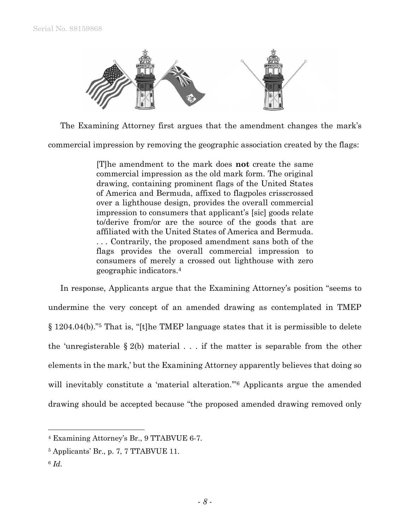

The Examining Attorney first argues that the amendment changes the mark's commercial impression by removing the geographic association created by the flags:

> [T]he amendment to the mark does **not** create the same commercial impression as the old mark form. The original drawing, containing prominent flags of the United States of America and Bermuda, affixed to flagpoles crisscrossed over a lighthouse design, provides the overall commercial impression to consumers that applicant's [sic] goods relate to/derive from/or are the source of the goods that are affiliated with the United States of America and Bermuda. . . . Contrarily, the proposed amendment sans both of the flags provides the overall commercial impression to consumers of merely a crossed out lighthouse with zero geographic indicators.<sup>4</sup>

In response, Applicants argue that the Examining Attorney's position "seems to undermine the very concept of an amended drawing as contemplated in TMEP § 1204.04(b)." <sup>5</sup> That is, "[t]he TMEP language states that it is permissible to delete the 'unregisterable  $\S 2(b)$  material ... if the matter is separable from the other elements in the mark,' but the Examining Attorney apparently believes that doing so will inevitably constitute a 'material alteration."<sup>6</sup> Applicants argue the amended drawing should be accepted because "the proposed amended drawing removed only

<sup>6</sup> *Id.*

 $\overline{a}$ 

<sup>4</sup> Examining Attorney's Br., 9 TTABVUE 6-7.

<sup>5</sup> Applicants' Br., p. 7, 7 TTABVUE 11.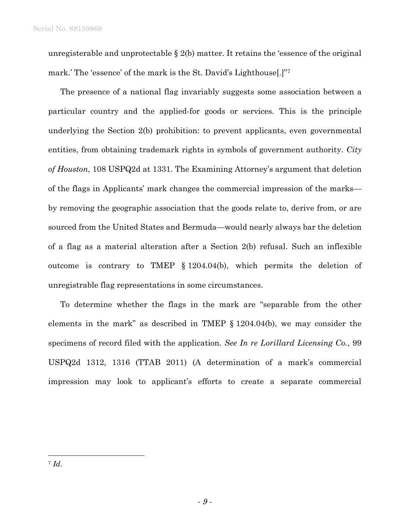unregisterable and unprotectable  $\S 2(b)$  matter. It retains the 'essence of the original mark.' The 'essence' of the mark is the St. David's Lighthouse[.]"<sup>7</sup>

The presence of a national flag invariably suggests some association between a particular country and the applied-for goods or services. This is the principle underlying the Section 2(b) prohibition: to prevent applicants, even governmental entities, from obtaining trademark rights in symbols of government authority. *City of Houston*, 108 USPQ2d at 1331. The Examining Attorney's argument that deletion of the flags in Applicants' mark changes the commercial impression of the marks by removing the geographic association that the goods relate to, derive from, or are sourced from the United States and Bermuda—would nearly always bar the deletion of a flag as a material alteration after a Section 2(b) refusal. Such an inflexible outcome is contrary to TMEP § 1204.04(b), which permits the deletion of unregistrable flag representations in some circumstances.

To determine whether the flags in the mark are "separable from the other elements in the mark" as described in TMEP § 1204.04(b), we may consider the specimens of record filed with the application. *See In re Lorillard Licensing Co.*, 99 USPQ2d 1312, 1316 (TTAB 2011) (A determination of a mark's commercial impression may look to applicant's efforts to create a separate commercial

l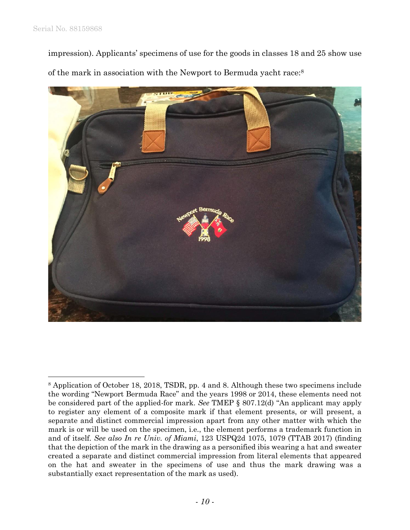l

impression). Applicants' specimens of use for the goods in classes 18 and 25 show use of the mark in association with the Newport to Bermuda yacht race:<sup>8</sup>



<sup>8</sup> Application of October 18, 2018, TSDR, pp. 4 and 8. Although these two specimens include the wording "Newport Bermuda Race" and the years 1998 or 2014, these elements need not be considered part of the applied-for mark. *See* TMEP § 807.12(d) "An applicant may apply to register any element of a composite mark if that element presents, or will present, a separate and distinct commercial impression apart from any other matter with which the mark is or will be used on the specimen, i.e., the element performs a trademark function in and of itself. *See also In re Univ. of Miami*, 123 USPQ2d 1075, 1079 (TTAB 2017) (finding that the depiction of the mark in the drawing as a personified ibis wearing a hat and sweater created a separate and distinct commercial impression from literal elements that appeared on the hat and sweater in the specimens of use and thus the mark drawing was a substantially exact representation of the mark as used).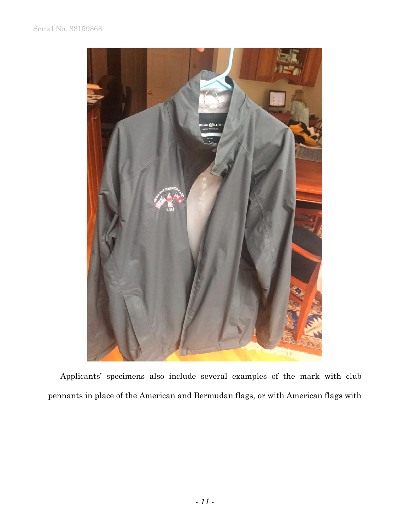

Applicants' specimens also include several examples of the mark with club pennants in place of the American and Bermudan flags, or with American flags with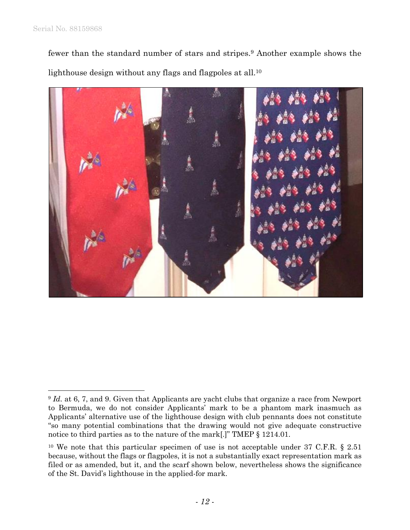fewer than the standard number of stars and stripes. <sup>9</sup> Another example shows the lighthouse design without any flags and flagpoles at all.<sup>10</sup>



l <sup>9</sup> *Id.* at 6, 7, and 9. Given that Applicants are yacht clubs that organize a race from Newport to Bermuda, we do not consider Applicants' mark to be a phantom mark inasmuch as Applicants' alternative use of the lighthouse design with club pennants does not constitute "so many potential combinations that the drawing would not give adequate constructive notice to third parties as to the nature of the mark[.]" TMEP § 1214.01.

<sup>&</sup>lt;sup>10</sup> We note that this particular specimen of use is not acceptable under 37 C.F.R. § 2.51 because, without the flags or flagpoles, it is not a substantially exact representation mark as filed or as amended, but it, and the scarf shown below, nevertheless shows the significance of the St. David's lighthouse in the applied-for mark.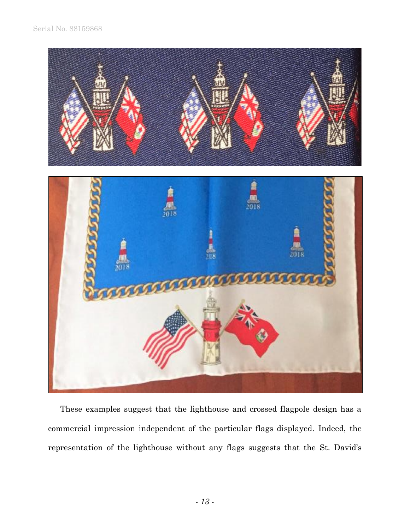

These examples suggest that the lighthouse and crossed flagpole design has a commercial impression independent of the particular flags displayed. Indeed, the representation of the lighthouse without any flags suggests that the St. David's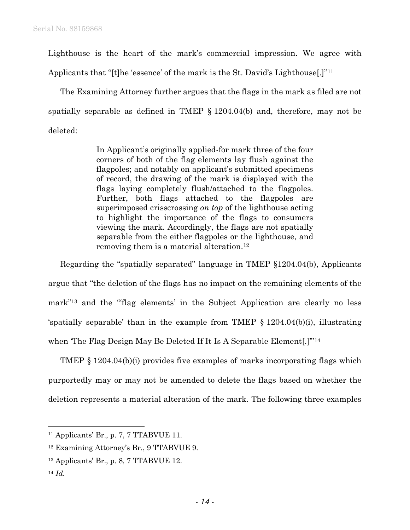Lighthouse is the heart of the mark's commercial impression. We agree with Applicants that "[t]he 'essence' of the mark is the St. David's Lighthouse[.]"<sup>11</sup>

The Examining Attorney further argues that the flags in the mark as filed are not spatially separable as defined in TMEP § 1204.04(b) and, therefore, may not be deleted:

> In Applicant's originally applied-for mark three of the four corners of both of the flag elements lay flush against the flagpoles; and notably on applicant's submitted specimens of record, the drawing of the mark is displayed with the flags laying completely flush/attached to the flagpoles. Further, both flags attached to the flagpoles are superimposed crisscrossing *on top* of the lighthouse acting to highlight the importance of the flags to consumers viewing the mark. Accordingly, the flags are not spatially separable from the either flagpoles or the lighthouse, and removing them is a material alteration.<sup>12</sup>

Regarding the "spatially separated" language in TMEP §1204.04(b), Applicants argue that "the deletion of the flags has no impact on the remaining elements of the mark" <sup>13</sup> and the "'flag elements' in the Subject Application are clearly no less 'spatially separable' than in the example from TMEP § 1204.04(b)(i), illustrating when 'The Flag Design May Be Deleted If It Is A Separable Element[.]'"<sup>14</sup>

TMEP § 1204.04(b)(i) provides five examples of marks incorporating flags which purportedly may or may not be amended to delete the flags based on whether the deletion represents a material alteration of the mark. The following three examples

<sup>14</sup> *Id.*

l

 $11$  Applicants' Br., p. 7, 7 TTABVUE 11.

<sup>12</sup> Examining Attorney's Br., 9 TTABVUE 9.

<sup>13</sup> Applicants' Br., p. 8, 7 TTABVUE 12.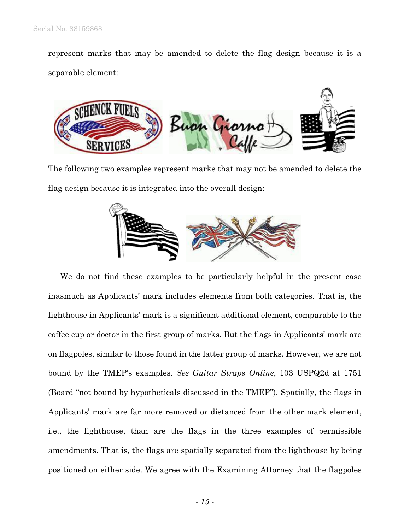represent marks that may be amended to delete the flag design because it is a separable element:



The following two examples represent marks that may not be amended to delete the flag design because it is integrated into the overall design:



We do not find these examples to be particularly helpful in the present case inasmuch as Applicants' mark includes elements from both categories. That is, the lighthouse in Applicants' mark is a significant additional element, comparable to the coffee cup or doctor in the first group of marks. But the flags in Applicants' mark are on flagpoles, similar to those found in the latter group of marks. However, we are not bound by the TMEP's examples. *See Guitar Straps Online*, 103 USPQ2d at 1751 (Board "not bound by hypotheticals discussed in the TMEP"). Spatially, the flags in Applicants' mark are far more removed or distanced from the other mark element, i.e., the lighthouse, than are the flags in the three examples of permissible amendments. That is, the flags are spatially separated from the lighthouse by being positioned on either side. We agree with the Examining Attorney that the flagpoles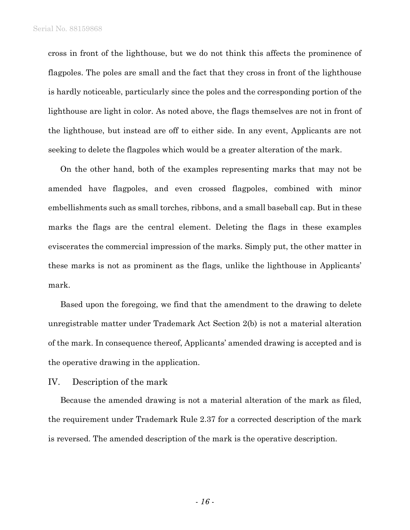cross in front of the lighthouse, but we do not think this affects the prominence of flagpoles. The poles are small and the fact that they cross in front of the lighthouse is hardly noticeable, particularly since the poles and the corresponding portion of the lighthouse are light in color. As noted above, the flags themselves are not in front of the lighthouse, but instead are off to either side. In any event, Applicants are not seeking to delete the flagpoles which would be a greater alteration of the mark.

On the other hand, both of the examples representing marks that may not be amended have flagpoles, and even crossed flagpoles, combined with minor embellishments such as small torches, ribbons, and a small baseball cap. But in these marks the flags are the central element. Deleting the flags in these examples eviscerates the commercial impression of the marks. Simply put, the other matter in these marks is not as prominent as the flags, unlike the lighthouse in Applicants' mark.

Based upon the foregoing, we find that the amendment to the drawing to delete unregistrable matter under Trademark Act Section 2(b) is not a material alteration of the mark. In consequence thereof, Applicants' amended drawing is accepted and is the operative drawing in the application.

## IV. Description of the mark

Because the amended drawing is not a material alteration of the mark as filed, the requirement under Trademark Rule 2.37 for a corrected description of the mark is reversed. The amended description of the mark is the operative description.

- *16* -